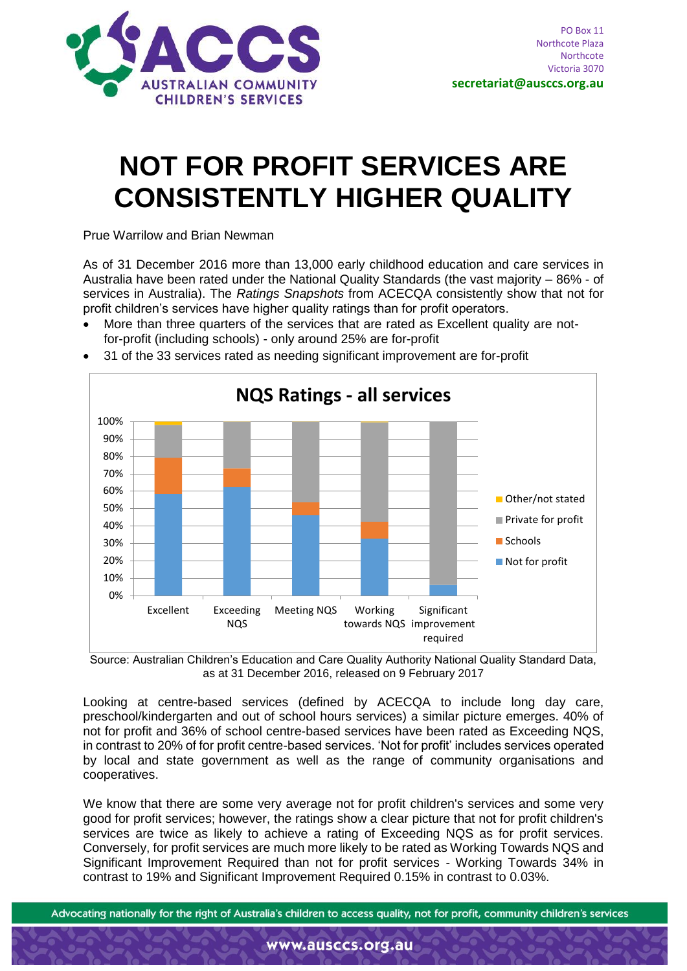

## **NOT FOR PROFIT SERVICES ARE CONSISTENTLY HIGHER QUALITY**

Prue Warrilow and Brian Newman

As of 31 December 2016 more than 13,000 early childhood education and care services in Australia have been rated under the National Quality Standards (the vast majority – 86% - of services in Australia). The *Ratings Snapshots* from ACECQA consistently show that not for profit children's services have higher quality ratings than for profit operators.

 More than three quarters of the services that are rated as Excellent quality are notfor-profit (including schools) - only around 25% are for-profit



31 of the 33 services rated as needing significant improvement are for-profit

Source: Australian Children's Education and Care Quality Authority National Quality Standard Data, as at 31 December 2016, released on 9 February 2017

Looking at centre-based services (defined by ACECQA to include long day care, preschool/kindergarten and out of school hours services) a similar picture emerges. 40% of not for profit and 36% of school centre-based services have been rated as Exceeding NQS, in contrast to 20% of for profit centre-based services. 'Not for profit' includes services operated by local and state government as well as the range of community organisations and cooperatives.

We know that there are some very average not for profit children's services and some very good for profit services; however, the ratings show a clear picture that not for profit children's services are twice as likely to achieve a rating of Exceeding NQS as for profit services. Conversely, for profit services are much more likely to be rated as Working Towards NQS and Significant Improvement Required than not for profit services - Working Towards 34% in contrast to 19% and Significant Improvement Required 0.15% in contrast to 0.03%.

Advocating nationally for the right of Australia's children to access quality, not for profit, community children's services

www.ausccs.org.au